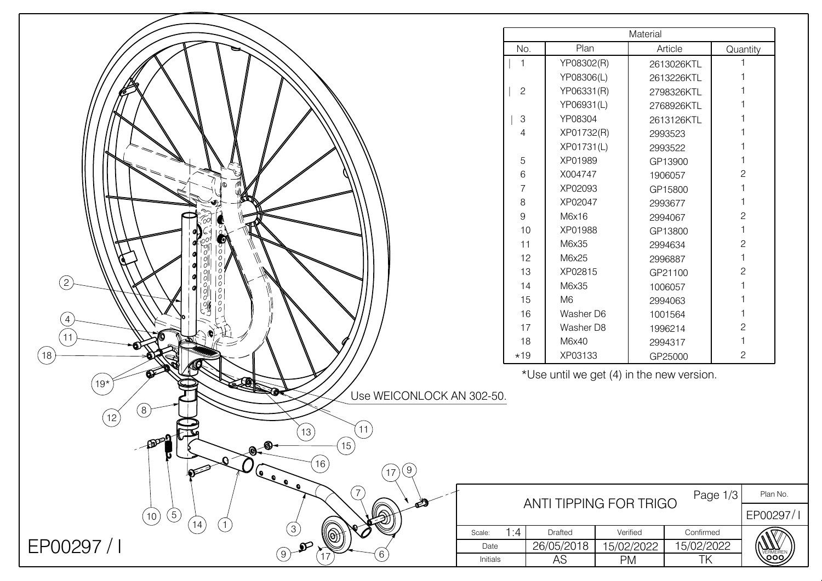| Material<br>Plan<br>Article<br>Quantity<br>No.<br>YP08302(R)<br>-1<br>2613026KTL<br>YP08306(L)<br>2613226KTL<br>$\mathbf{2}$<br>YP06331(R)<br>2798326KTL<br>YP06931(L)<br>2768926KTL<br>$\ensuremath{\mathsf{3}}$<br>YP08304<br>2613126KTL<br>XP01732(R)<br>4<br>2993523<br>XP01731(L)<br>2993522<br>XP01989<br>5<br>GP13900<br>$\mathbf{2}$<br>6<br>X004747<br>1906057<br>XP02093<br>$\overline{7}$<br>GP15800<br>8<br>XP02047<br>2993677<br>$\mathbf{2}$<br>9<br>M6x16<br>2994067<br>XP01988<br>10<br>GP13800<br>O<br>$\mathbf{2}$<br>11<br>M6x35<br>2994634<br>$\frac{1}{2}$<br>12<br>M6x25<br>2996887 |
|-----------------------------------------------------------------------------------------------------------------------------------------------------------------------------------------------------------------------------------------------------------------------------------------------------------------------------------------------------------------------------------------------------------------------------------------------------------------------------------------------------------------------------------------------------------------------------------------------------------|
|                                                                                                                                                                                                                                                                                                                                                                                                                                                                                                                                                                                                           |
|                                                                                                                                                                                                                                                                                                                                                                                                                                                                                                                                                                                                           |
|                                                                                                                                                                                                                                                                                                                                                                                                                                                                                                                                                                                                           |
|                                                                                                                                                                                                                                                                                                                                                                                                                                                                                                                                                                                                           |
|                                                                                                                                                                                                                                                                                                                                                                                                                                                                                                                                                                                                           |
|                                                                                                                                                                                                                                                                                                                                                                                                                                                                                                                                                                                                           |
|                                                                                                                                                                                                                                                                                                                                                                                                                                                                                                                                                                                                           |
|                                                                                                                                                                                                                                                                                                                                                                                                                                                                                                                                                                                                           |
|                                                                                                                                                                                                                                                                                                                                                                                                                                                                                                                                                                                                           |
|                                                                                                                                                                                                                                                                                                                                                                                                                                                                                                                                                                                                           |
|                                                                                                                                                                                                                                                                                                                                                                                                                                                                                                                                                                                                           |
|                                                                                                                                                                                                                                                                                                                                                                                                                                                                                                                                                                                                           |
|                                                                                                                                                                                                                                                                                                                                                                                                                                                                                                                                                                                                           |
|                                                                                                                                                                                                                                                                                                                                                                                                                                                                                                                                                                                                           |
|                                                                                                                                                                                                                                                                                                                                                                                                                                                                                                                                                                                                           |
|                                                                                                                                                                                                                                                                                                                                                                                                                                                                                                                                                                                                           |
|                                                                                                                                                                                                                                                                                                                                                                                                                                                                                                                                                                                                           |
| $\mathbf{2}$<br>XP02815<br>13<br>GP21100                                                                                                                                                                                                                                                                                                                                                                                                                                                                                                                                                                  |
| (2)<br>14<br>M6x35<br>1006057                                                                                                                                                                                                                                                                                                                                                                                                                                                                                                                                                                             |
| M <sub>6</sub><br>15<br>2994063                                                                                                                                                                                                                                                                                                                                                                                                                                                                                                                                                                           |
| 16<br>Washer D6<br>1001564<br>$\overline{4}$                                                                                                                                                                                                                                                                                                                                                                                                                                                                                                                                                              |
| $\sqrt{2}$<br>17<br>Washer D8<br>1996214                                                                                                                                                                                                                                                                                                                                                                                                                                                                                                                                                                  |
| $\overline{11}$<br>M6x40<br>18<br>2994317                                                                                                                                                                                                                                                                                                                                                                                                                                                                                                                                                                 |
| (18)<br>$\mathbf{2}$<br>XP03133<br>$*19$<br>GP25000                                                                                                                                                                                                                                                                                                                                                                                                                                                                                                                                                       |
| *Use until we get (4) in the new version.                                                                                                                                                                                                                                                                                                                                                                                                                                                                                                                                                                 |
| <b>ELECTION</b><br>$(19^{\star})$                                                                                                                                                                                                                                                                                                                                                                                                                                                                                                                                                                         |
| Use WEICONLOCK AN 302-50.                                                                                                                                                                                                                                                                                                                                                                                                                                                                                                                                                                                 |
| (8)<br>$\left(12\right)$                                                                                                                                                                                                                                                                                                                                                                                                                                                                                                                                                                                  |
| (11)<br>$\left(13\right)$                                                                                                                                                                                                                                                                                                                                                                                                                                                                                                                                                                                 |
| D P<br>(15)<br>๑⊷                                                                                                                                                                                                                                                                                                                                                                                                                                                                                                                                                                                         |
| ଭ<br>0                                                                                                                                                                                                                                                                                                                                                                                                                                                                                                                                                                                                    |
| (16)<br>$\bigcap$<br>(9)<br>17                                                                                                                                                                                                                                                                                                                                                                                                                                                                                                                                                                            |
| $\begin{picture}(120,10) \put(0,0){\line(1,0){10}} \put(15,0){\line(1,0){10}} \put(15,0){\line(1,0){10}} \put(15,0){\line(1,0){10}} \put(15,0){\line(1,0){10}} \put(15,0){\line(1,0){10}} \put(15,0){\line(1,0){10}} \put(15,0){\line(1,0){10}} \put(15,0){\line(1,0){10}} \put(15,0){\line(1,0){10}} \put(15,0){\line(1,0){10}} \put(15,0){\line($                                                                                                                                                                                                                                                       |
| (7)<br>Page 1/3<br>Plan No.<br>ANTI TIPPING FOR TRIGO<br>D                                                                                                                                                                                                                                                                                                                                                                                                                                                                                                                                                |
| EP00297/1<br>(5)<br>(10)                                                                                                                                                                                                                                                                                                                                                                                                                                                                                                                                                                                  |
| 14<br>$\mathbf{1}$<br>$\left(3\right)$<br>1:4<br>Confirmed<br>Drafted<br>Verified<br>Scale:                                                                                                                                                                                                                                                                                                                                                                                                                                                                                                               |
| (@)<br>EP00297 / I<br>26/05/2018<br>15/02/2022<br>15/02/2022<br>Date                                                                                                                                                                                                                                                                                                                                                                                                                                                                                                                                      |
| $\bigcirc$ $\mathcal{P}$ .<br>6 <sup>2</sup><br>ERMEIRE<br>QOO<br>AS<br>TK<br>PM<br>Initials                                                                                                                                                                                                                                                                                                                                                                                                                                                                                                              |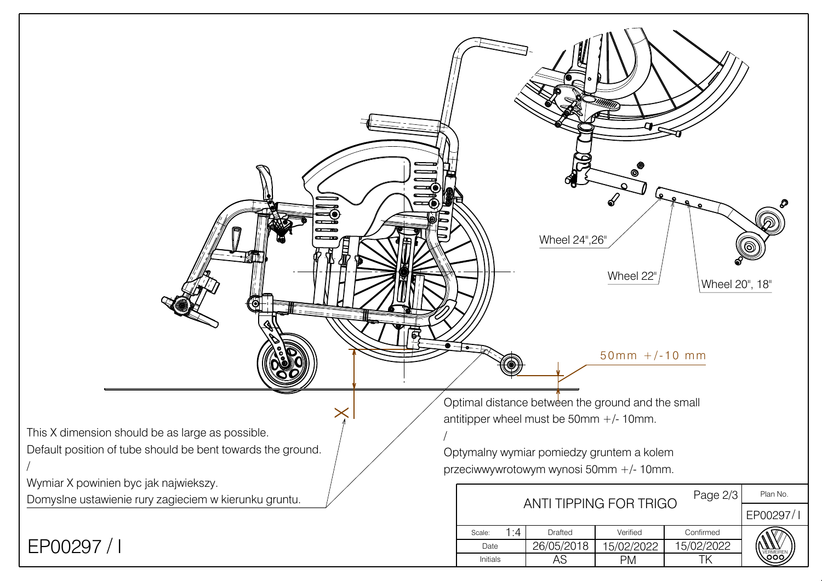